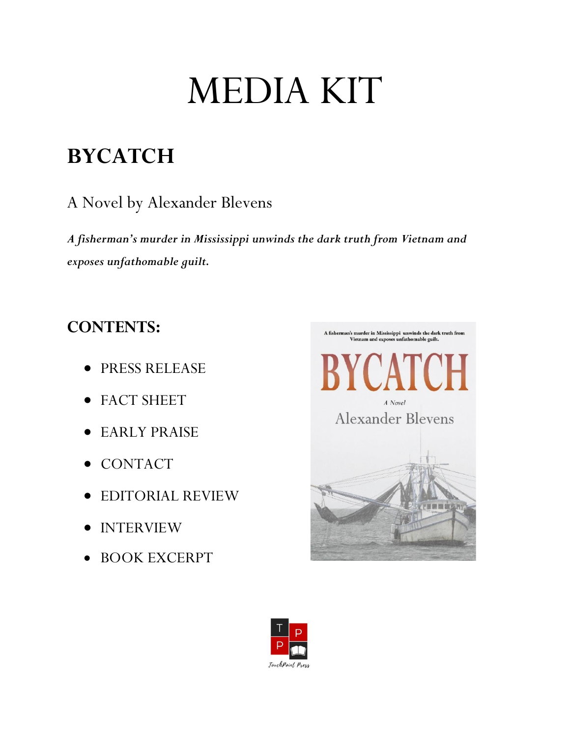# MEDIA KIT

## **BYCATCH**

A Novel by Alexander Blevens

*A fisherman's murder in Mississippi unwinds the dark truth from Vietnam and exposes unfathomable guilt.*

## **CONTENTS:**

- PRESS RELEASE
- FACT SHEET
- EARLY PRAISE
- CONTACT
- EDITORIAL REVIEW
- INTERVIEW
- BOOK EXCERPT



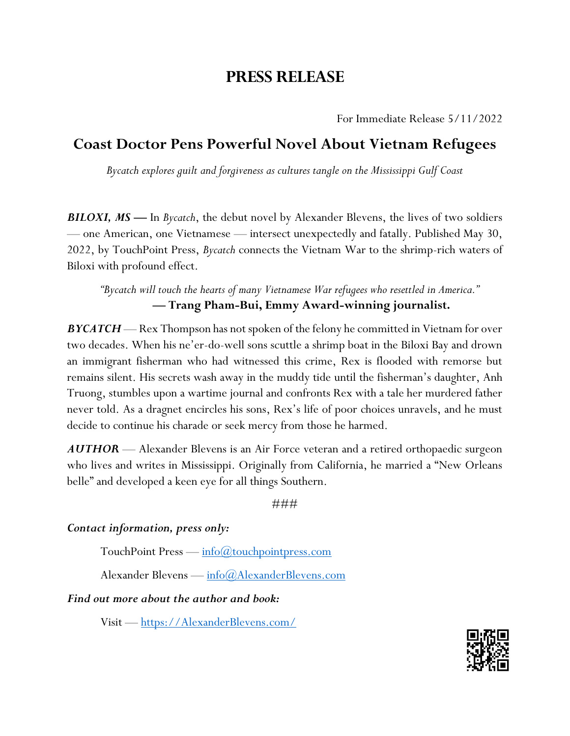## **PRESS RELEASE**

For Immediate Release 5/11/2022

## **Coast Doctor Pens Powerful Novel About Vietnam Refugees**

*Bycatch explores guilt and forgiveness as cultures tangle on the Mississippi Gulf Coast*

*BILOXI, MS —* In *Bycatch*, the debut novel by Alexander Blevens, the lives of two soldiers — one American, one Vietnamese — intersect unexpectedly and fatally. Published May 30, 2022, by TouchPoint Press, *Bycatch* connects the Vietnam War to the shrimp-rich waters of Biloxi with profound effect.

### *"Bycatch will touch the hearts of many Vietnamese War refugees who resettled in America."* **— Trang Pham-Bui, Emmy Award-winning journalist.**

*BYCATCH* — Rex Thompson has not spoken of the felony he committed in Vietnam for over two decades. When his ne'er-do-well sons scuttle a shrimp boat in the Biloxi Bay and drown an immigrant fisherman who had witnessed this crime, Rex is flooded with remorse but remains silent. His secrets wash away in the muddy tide until the fisherman's daughter, Anh Truong, stumbles upon a wartime journal and confronts Rex with a tale her murdered father never told. As a dragnet encircles his sons, Rex's life of poor choices unravels, and he must decide to continue his charade or seek mercy from those he harmed.

*AUTHOR* — Alexander Blevens is an Air Force veteran and a retired orthopaedic surgeon who lives and writes in Mississippi. Originally from California, he married a "New Orleans belle" and developed a keen eye for all things Southern.

###

*Contact information, press only:*

TouchPoint Press — [info@touchpointpress.com](mailto:info@touchpointpress.com)

Alexander Blevens — [info@AlexanderBlevens.com](mailto:info@AlexanderBlevens.com)

*Find out more about the author and book:*

Visit — [https://AlexanderBlevens.com/](https://alexanderblevens.com/)

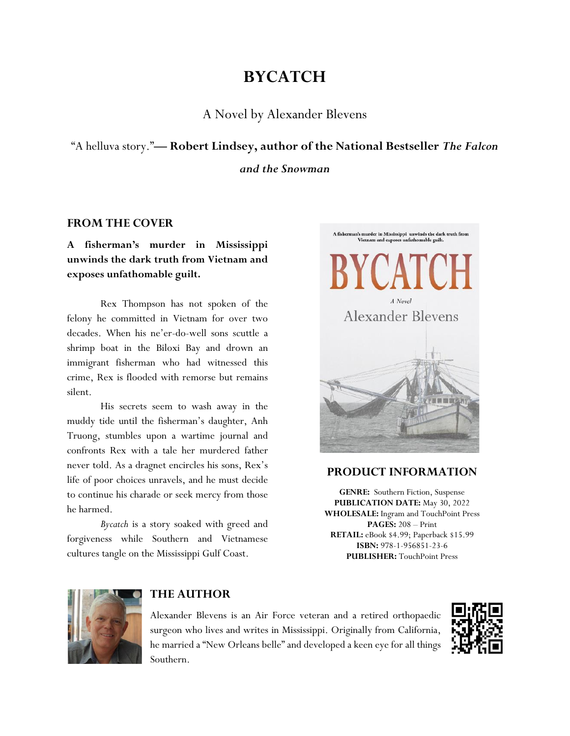## **BYCATCH**

#### A Novel by Alexander Blevens

## "A helluva story."**— Robert Lindsey, author of the National Bestseller** *The Falcon and the Snowman*

#### **FROM THE COVER**

**A fisherman's murder in Mississippi unwinds the dark truth from Vietnam and exposes unfathomable guilt.**

Rex Thompson has not spoken of the felony he committed in Vietnam for over two decades. When his ne'er-do-well sons scuttle a shrimp boat in the Biloxi Bay and drown an immigrant fisherman who had witnessed this crime, Rex is flooded with remorse but remains silent.

His secrets seem to wash away in the muddy tide until the fisherman's daughter, Anh Truong, stumbles upon a wartime journal and confronts Rex with a tale her murdered father never told. As a dragnet encircles his sons, Rex's life of poor choices unravels, and he must decide to continue his charade or seek mercy from those he harmed.

*Bycatch* is a story soaked with greed and forgiveness while Southern and Vietnamese cultures tangle on the Mississippi Gulf Coast.



#### **PRODUCT INFORMATION**

**GENRE:** Southern Fiction, Suspense **PUBLICATION DATE:** May 30, 2022 **WHOLESALE:** Ingram and TouchPoint Press **PAGES:** 208 – Print **RETAIL:** eBook \$4.99; Paperback \$15.99 **ISBN:** 978-1-956851-23-6 **PUBLISHER:** TouchPoint Press



#### **THE AUTHOR**

Alexander Blevens is an Air Force veteran and a retired orthopaedic surgeon who lives and writes in Mississippi. Originally from California, he married a "New Orleans belle" and developed a keen eye for all things Southern.

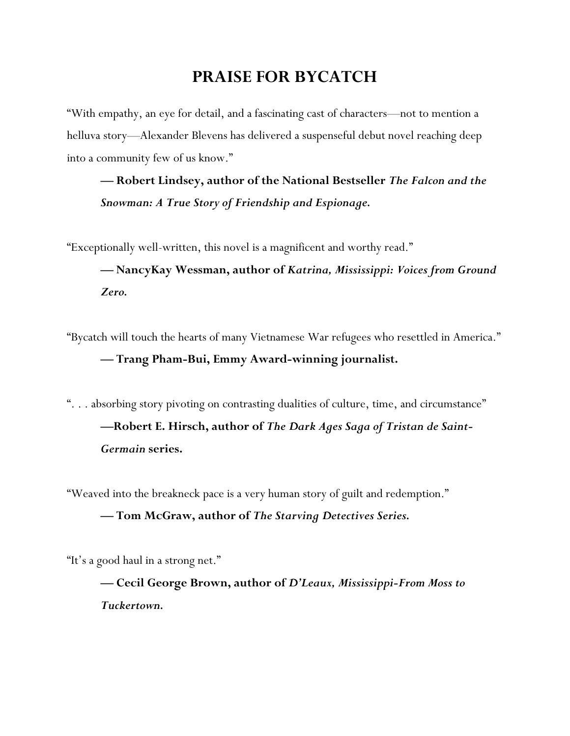## **PRAISE FOR BYCATCH**

"With empathy, an eye for detail, and a fascinating cast of characters—not to mention a helluva story—Alexander Blevens has delivered a suspenseful debut novel reaching deep into a community few of us know."

**— Robert Lindsey, author of the National Bestseller** *The Falcon and the Snowman: A True Story of Friendship and Espionage.*

"Exceptionally well-written, this novel is a magnificent and worthy read."

**— NancyKay Wessman, author of** *Katrina, Mississippi: Voices from Ground Zero.*

"Bycatch will touch the hearts of many Vietnamese War refugees who resettled in America."

#### **— Trang Pham-Bui, Emmy Award-winning journalist.**

". . . absorbing story pivoting on contrasting dualities of culture, time, and circumstance" **—Robert E. Hirsch, author of** *The Dark Ages Saga of Tristan de Saint-Germain* **series.**

"Weaved into the breakneck pace is a very human story of guilt and redemption."

**— Tom McGraw, author of** *The Starving Detectives Series.*

"It's a good haul in a strong net."

**— Cecil George Brown, author of** *D'Leaux, Mississippi-From Moss to Tuckertown.*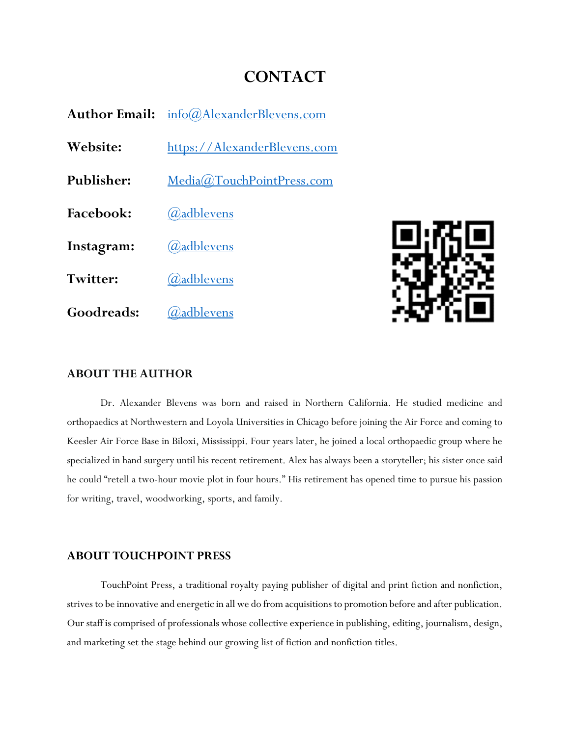## **CONTACT**

| <b>Author Email:</b> | $info(a)$ AlexanderBlevens.com |
|----------------------|--------------------------------|
| Website:             | https://AlexanderBlevens.com   |
| Publisher:           | Media@TouchPointPress.com      |
| Facebook:            | $(a)$ adblevens                |
| Instagram:           | $(a)$ adblevens                |
| <b>Twitter:</b>      | $(a)$ adblevens                |
| Goodreads:           | <i>(a)</i> adblevens           |



#### **ABOUT THE AUTHOR**

Dr. Alexander Blevens was born and raised in Northern California. He studied medicine and orthopaedics at Northwestern and Loyola Universities in Chicago before joining the Air Force and coming to Keesler Air Force Base in Biloxi, Mississippi. Four years later, he joined a local orthopaedic group where he specialized in hand surgery until his recent retirement. Alex has always been a storyteller; his sister once said he could "retell a two-hour movie plot in four hours." His retirement has opened time to pursue his passion for writing, travel, woodworking, sports, and family.

#### **ABOUT TOUCHPOINT PRESS**

TouchPoint Press, a traditional royalty paying publisher of digital and print fiction and nonfiction, strives to be innovative and energetic in all we do from acquisitions to promotion before and after publication. Our staff is comprised of professionals whose collective experience in publishing, editing, journalism, design, and marketing set the stage behind our growing list of fiction and nonfiction titles.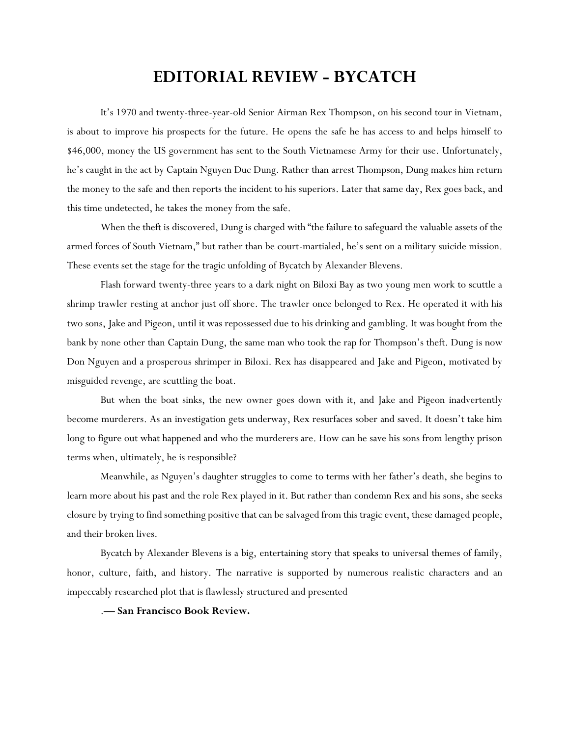## **EDITORIAL REVIEW - BYCATCH**

It's 1970 and twenty-three-year-old Senior Airman Rex Thompson, on his second tour in Vietnam, is about to improve his prospects for the future. He opens the safe he has access to and helps himself to \$46,000, money the US government has sent to the South Vietnamese Army for their use. Unfortunately, he's caught in the act by Captain Nguyen Duc Dung. Rather than arrest Thompson, Dung makes him return the money to the safe and then reports the incident to his superiors. Later that same day, Rex goes back, and this time undetected, he takes the money from the safe.

When the theft is discovered, Dung is charged with "the failure to safeguard the valuable assets of the armed forces of South Vietnam," but rather than be court-martialed, he's sent on a military suicide mission. These events set the stage for the tragic unfolding of Bycatch by Alexander Blevens.

Flash forward twenty-three years to a dark night on Biloxi Bay as two young men work to scuttle a shrimp trawler resting at anchor just off shore. The trawler once belonged to Rex. He operated it with his two sons, Jake and Pigeon, until it was repossessed due to his drinking and gambling. It was bought from the bank by none other than Captain Dung, the same man who took the rap for Thompson's theft. Dung is now Don Nguyen and a prosperous shrimper in Biloxi. Rex has disappeared and Jake and Pigeon, motivated by misguided revenge, are scuttling the boat.

But when the boat sinks, the new owner goes down with it, and Jake and Pigeon inadvertently become murderers. As an investigation gets underway, Rex resurfaces sober and saved. It doesn't take him long to figure out what happened and who the murderers are. How can he save his sons from lengthy prison terms when, ultimately, he is responsible?

Meanwhile, as Nguyen's daughter struggles to come to terms with her father's death, she begins to learn more about his past and the role Rex played in it. But rather than condemn Rex and his sons, she seeks closure by trying to find something positive that can be salvaged from this tragic event, these damaged people, and their broken lives.

Bycatch by Alexander Blevens is a big, entertaining story that speaks to universal themes of family, honor, culture, faith, and history. The narrative is supported by numerous realistic characters and an impeccably researched plot that is flawlessly structured and presented

.**— San Francisco Book Review.**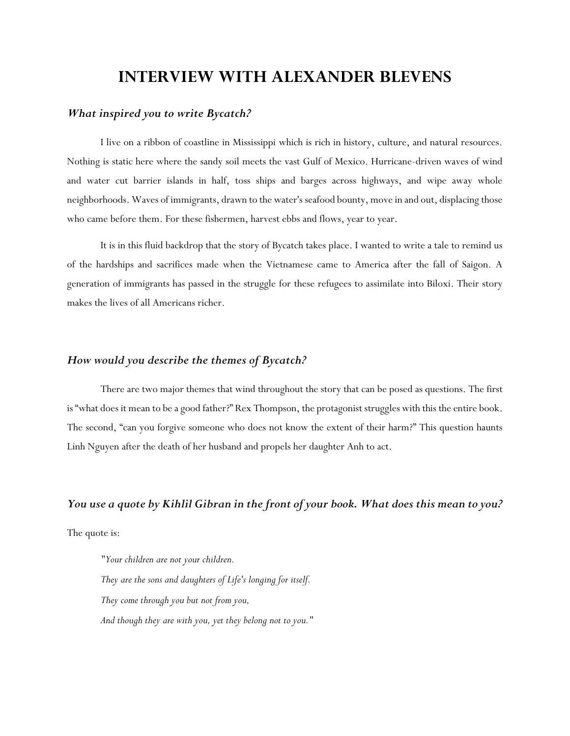## **INTERVIEW WITH ALEXANDER BLEVENS**

#### *What inspired you to write Bycatch?*

I live on a ribbon of coastline in Mississippi which is rich in history, culture, and natural resources. Nothing is static here where the sandy soil meets the vast Gulf of Mexico. Hurricane-driven waves of wind and water cut barrier islands in half, toss ships and barges across highways, and wipe away whole neighborhoods. Waves of immigrants, drawn to the water's seafood bounty, move in and out, displacing those who came before them. For these fishermen, harvest ebbs and flows, year to year.

It is in this fluid backdrop that the story of Bycatch takes place. I wanted to write a tale to remind us of the hardships and sacrifices made when the Vietnamese came to America after the fall of Saigon. A generation of immigrants has passed in the struggle for these refugees to assimilate into Biloxi. Their story makes the lives of all Americans richer.

#### *How would you describe the themes of Bycatch?*

There are two major themes that wind throughout the story that can be posed as questions. The first is "what does it mean to be a good father?" Rex Thompson, the protagonist struggles with this the entire book. The second, "can you forgive someone who does not know the extent of their harm?" This question haunts Linh Nguyen after the death of her husband and propels her daughter Anh to act.

#### *You use a quote by Kihlil Gibran in the front of your book. What does this mean to you?*

The quote is:

*"Your children are not your children. They are the sons and daughters of Life's longing for itself. They come through you but not from you, And though they are with you, yet they belong not to you."*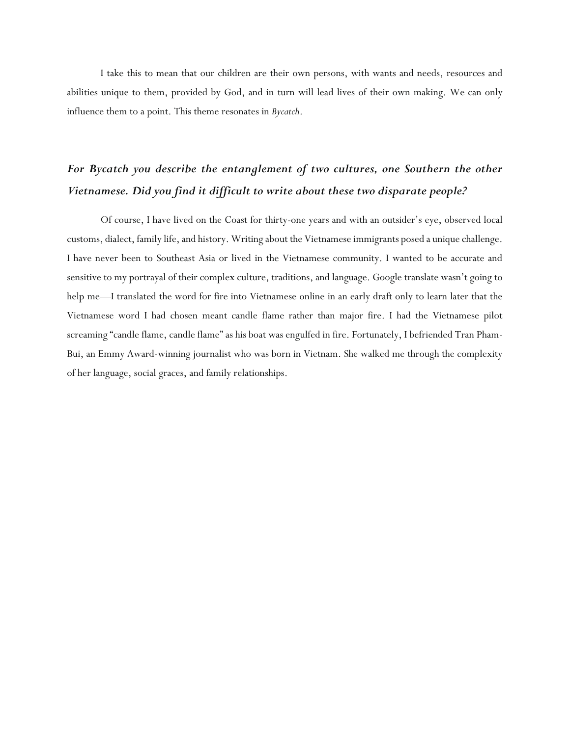I take this to mean that our children are their own persons, with wants and needs, resources and abilities unique to them, provided by God, and in turn will lead lives of their own making. We can only influence them to a point. This theme resonates in *Bycatch*.

## For Bycatch you describe the entanglement of two cultures, one Southern the other *Vietnamese. Did you find it difficult to write about these two disparate people?*

Of course, I have lived on the Coast for thirty-one years and with an outsider's eye, observed local customs, dialect, family life, and history. Writing about the Vietnamese immigrants posed a unique challenge. I have never been to Southeast Asia or lived in the Vietnamese community. I wanted to be accurate and sensitive to my portrayal of their complex culture, traditions, and language. Google translate wasn't going to help me—I translated the word for fire into Vietnamese online in an early draft only to learn later that the Vietnamese word I had chosen meant candle flame rather than major fire. I had the Vietnamese pilot screaming "candle flame, candle flame" as his boat was engulfed in fire. Fortunately, I befriended Tran Pham-Bui, an Emmy Award-winning journalist who was born in Vietnam. She walked me through the complexity of her language, social graces, and family relationships.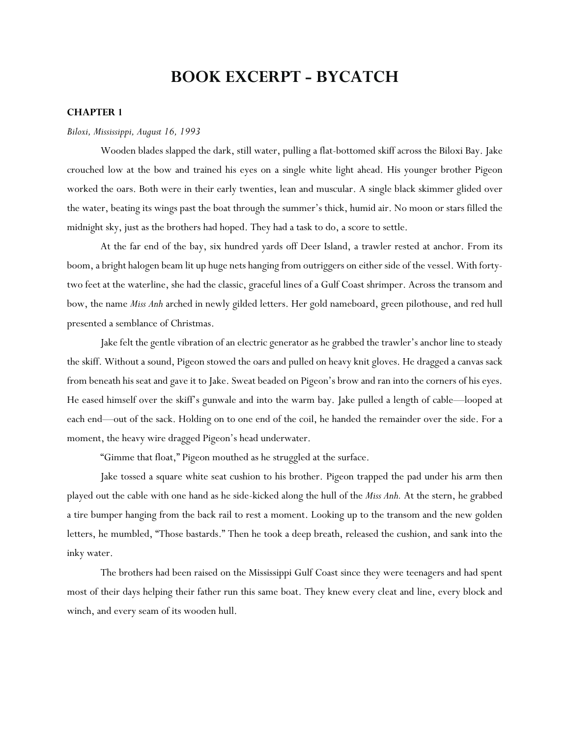## **BOOK EXCERPT - BYCATCH**

#### **CHAPTER 1**

#### *Biloxi, Mississippi, August 16, 1993*

Wooden blades slapped the dark, still water, pulling a flat-bottomed skiff across the Biloxi Bay. Jake crouched low at the bow and trained his eyes on a single white light ahead. His younger brother Pigeon worked the oars. Both were in their early twenties, lean and muscular. A single black skimmer glided over the water, beating its wings past the boat through the summer's thick, humid air. No moon or stars filled the midnight sky, just as the brothers had hoped. They had a task to do, a score to settle.

At the far end of the bay, six hundred yards off Deer Island, a trawler rested at anchor. From its boom, a bright halogen beam lit up huge nets hanging from outriggers on either side of the vessel. With fortytwo feet at the waterline, she had the classic, graceful lines of a Gulf Coast shrimper. Across the transom and bow, the name *Miss Anh* arched in newly gilded letters. Her gold nameboard, green pilothouse, and red hull presented a semblance of Christmas.

Jake felt the gentle vibration of an electric generator as he grabbed the trawler's anchor line to steady the skiff. Without a sound, Pigeon stowed the oars and pulled on heavy knit gloves. He dragged a canvas sack from beneath his seat and gave it to Jake. Sweat beaded on Pigeon's brow and ran into the corners of his eyes. He eased himself over the skiff's gunwale and into the warm bay. Jake pulled a length of cable—looped at each end—out of the sack. Holding on to one end of the coil, he handed the remainder over the side. For a moment, the heavy wire dragged Pigeon's head underwater.

"Gimme that float," Pigeon mouthed as he struggled at the surface.

Jake tossed a square white seat cushion to his brother. Pigeon trapped the pad under his arm then played out the cable with one hand as he side-kicked along the hull of the *Miss Anh.* At the stern, he grabbed a tire bumper hanging from the back rail to rest a moment. Looking up to the transom and the new golden letters, he mumbled, "Those bastards." Then he took a deep breath, released the cushion, and sank into the inky water.

The brothers had been raised on the Mississippi Gulf Coast since they were teenagers and had spent most of their days helping their father run this same boat. They knew every cleat and line, every block and winch, and every seam of its wooden hull.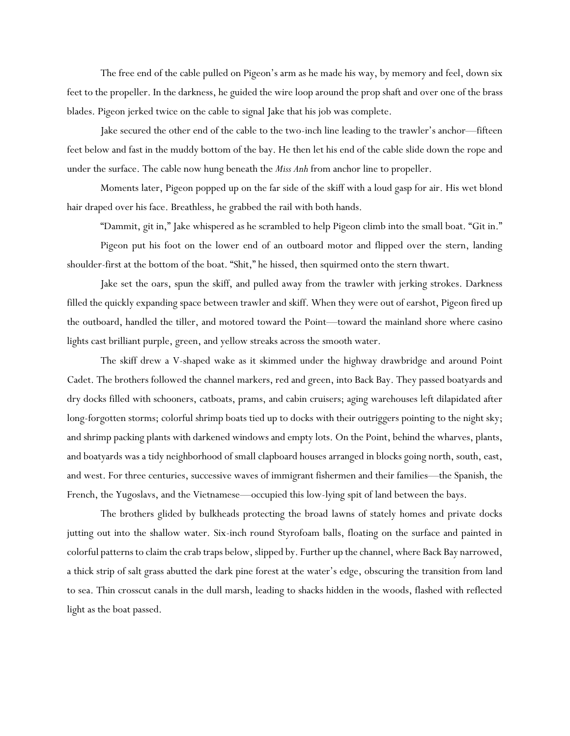The free end of the cable pulled on Pigeon's arm as he made his way, by memory and feel, down six feet to the propeller. In the darkness, he guided the wire loop around the prop shaft and over one of the brass blades. Pigeon jerked twice on the cable to signal Jake that his job was complete.

Jake secured the other end of the cable to the two-inch line leading to the trawler's anchor—fifteen feet below and fast in the muddy bottom of the bay. He then let his end of the cable slide down the rope and under the surface. The cable now hung beneath the *Miss Anh* from anchor line to propeller.

Moments later, Pigeon popped up on the far side of the skiff with a loud gasp for air. His wet blond hair draped over his face. Breathless, he grabbed the rail with both hands.

"Dammit, git in," Jake whispered as he scrambled to help Pigeon climb into the small boat. "Git in."

Pigeon put his foot on the lower end of an outboard motor and flipped over the stern, landing shoulder-first at the bottom of the boat. "Shit," he hissed, then squirmed onto the stern thwart.

Jake set the oars, spun the skiff, and pulled away from the trawler with jerking strokes. Darkness filled the quickly expanding space between trawler and skiff. When they were out of earshot, Pigeon fired up the outboard, handled the tiller, and motored toward the Point—toward the mainland shore where casino lights cast brilliant purple, green, and yellow streaks across the smooth water.

The skiff drew a V-shaped wake as it skimmed under the highway drawbridge and around Point Cadet. The brothers followed the channel markers, red and green, into Back Bay. They passed boatyards and dry docks filled with schooners, catboats, prams, and cabin cruisers; aging warehouses left dilapidated after long-forgotten storms; colorful shrimp boats tied up to docks with their outriggers pointing to the night sky; and shrimp packing plants with darkened windows and empty lots. On the Point, behind the wharves, plants, and boatyards was a tidy neighborhood of small clapboard houses arranged in blocks going north, south, east, and west. For three centuries, successive waves of immigrant fishermen and their families—the Spanish, the French, the Yugoslavs, and the Vietnamese—occupied this low-lying spit of land between the bays.

The brothers glided by bulkheads protecting the broad lawns of stately homes and private docks jutting out into the shallow water. Six-inch round Styrofoam balls, floating on the surface and painted in colorful patterns to claim the crab traps below, slipped by. Further up the channel, where Back Bay narrowed, a thick strip of salt grass abutted the dark pine forest at the water's edge, obscuring the transition from land to sea. Thin crosscut canals in the dull marsh, leading to shacks hidden in the woods, flashed with reflected light as the boat passed.